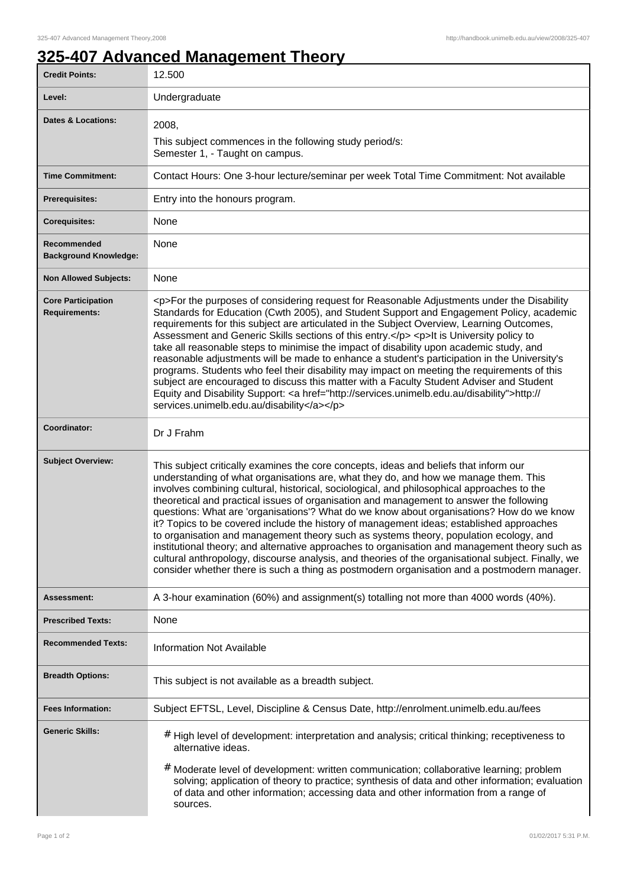## **325-407 Advanced Management Theory**

| <b>Credit Points:</b>                             | 12.500                                                                                                                                                                                                                                                                                                                                                                                                                                                                                                                                                                                                                                                                                                                                                                                                                                                                                                                                                        |
|---------------------------------------------------|---------------------------------------------------------------------------------------------------------------------------------------------------------------------------------------------------------------------------------------------------------------------------------------------------------------------------------------------------------------------------------------------------------------------------------------------------------------------------------------------------------------------------------------------------------------------------------------------------------------------------------------------------------------------------------------------------------------------------------------------------------------------------------------------------------------------------------------------------------------------------------------------------------------------------------------------------------------|
| Level:                                            | Undergraduate                                                                                                                                                                                                                                                                                                                                                                                                                                                                                                                                                                                                                                                                                                                                                                                                                                                                                                                                                 |
| <b>Dates &amp; Locations:</b>                     | 2008,                                                                                                                                                                                                                                                                                                                                                                                                                                                                                                                                                                                                                                                                                                                                                                                                                                                                                                                                                         |
|                                                   | This subject commences in the following study period/s:<br>Semester 1, - Taught on campus.                                                                                                                                                                                                                                                                                                                                                                                                                                                                                                                                                                                                                                                                                                                                                                                                                                                                    |
| <b>Time Commitment:</b>                           | Contact Hours: One 3-hour lecture/seminar per week Total Time Commitment: Not available                                                                                                                                                                                                                                                                                                                                                                                                                                                                                                                                                                                                                                                                                                                                                                                                                                                                       |
| <b>Prerequisites:</b>                             | Entry into the honours program.                                                                                                                                                                                                                                                                                                                                                                                                                                                                                                                                                                                                                                                                                                                                                                                                                                                                                                                               |
| <b>Corequisites:</b>                              | None                                                                                                                                                                                                                                                                                                                                                                                                                                                                                                                                                                                                                                                                                                                                                                                                                                                                                                                                                          |
| Recommended<br><b>Background Knowledge:</b>       | None                                                                                                                                                                                                                                                                                                                                                                                                                                                                                                                                                                                                                                                                                                                                                                                                                                                                                                                                                          |
| <b>Non Allowed Subjects:</b>                      | None                                                                                                                                                                                                                                                                                                                                                                                                                                                                                                                                                                                                                                                                                                                                                                                                                                                                                                                                                          |
| <b>Core Participation</b><br><b>Requirements:</b> | <p>For the purposes of considering request for Reasonable Adjustments under the Disability<br/>Standards for Education (Cwth 2005), and Student Support and Engagement Policy, academic<br/>requirements for this subject are articulated in the Subject Overview, Learning Outcomes,<br/>Assessment and Generic Skills sections of this entry.</p> <p>lt is University policy to<br/>take all reasonable steps to minimise the impact of disability upon academic study, and<br/>reasonable adjustments will be made to enhance a student's participation in the University's<br/>programs. Students who feel their disability may impact on meeting the requirements of this<br/>subject are encouraged to discuss this matter with a Faculty Student Adviser and Student<br/>Equity and Disability Support: <a href="http://services.unimelb.edu.au/disability">http://<br/>services.unimelb.edu.au/disability</a></p>                                     |
| Coordinator:                                      | Dr J Frahm                                                                                                                                                                                                                                                                                                                                                                                                                                                                                                                                                                                                                                                                                                                                                                                                                                                                                                                                                    |
| <b>Subject Overview:</b>                          | This subject critically examines the core concepts, ideas and beliefs that inform our<br>understanding of what organisations are, what they do, and how we manage them. This<br>involves combining cultural, historical, sociological, and philosophical approaches to the<br>theoretical and practical issues of organisation and management to answer the following<br>questions: What are 'organisations'? What do we know about organisations? How do we know<br>it? Topics to be covered include the history of management ideas; established approaches<br>to organisation and management theory such as systems theory, population ecology, and<br>institutional theory; and alternative approaches to organisation and management theory such as<br>cultural anthropology, discourse analysis, and theories of the organisational subject. Finally, we<br>consider whether there is such a thing as postmodern organisation and a postmodern manager. |
| Assessment:                                       | A 3-hour examination (60%) and assignment(s) totalling not more than 4000 words (40%).                                                                                                                                                                                                                                                                                                                                                                                                                                                                                                                                                                                                                                                                                                                                                                                                                                                                        |
| <b>Prescribed Texts:</b>                          | None                                                                                                                                                                                                                                                                                                                                                                                                                                                                                                                                                                                                                                                                                                                                                                                                                                                                                                                                                          |
| <b>Recommended Texts:</b>                         | <b>Information Not Available</b>                                                                                                                                                                                                                                                                                                                                                                                                                                                                                                                                                                                                                                                                                                                                                                                                                                                                                                                              |
| <b>Breadth Options:</b>                           | This subject is not available as a breadth subject.                                                                                                                                                                                                                                                                                                                                                                                                                                                                                                                                                                                                                                                                                                                                                                                                                                                                                                           |
| <b>Fees Information:</b>                          | Subject EFTSL, Level, Discipline & Census Date, http://enrolment.unimelb.edu.au/fees                                                                                                                                                                                                                                                                                                                                                                                                                                                                                                                                                                                                                                                                                                                                                                                                                                                                          |
| <b>Generic Skills:</b>                            | # High level of development: interpretation and analysis; critical thinking; receptiveness to<br>alternative ideas.                                                                                                                                                                                                                                                                                                                                                                                                                                                                                                                                                                                                                                                                                                                                                                                                                                           |
|                                                   | # Moderate level of development: written communication; collaborative learning; problem<br>solving; application of theory to practice; synthesis of data and other information; evaluation<br>of data and other information; accessing data and other information from a range of<br>sources.                                                                                                                                                                                                                                                                                                                                                                                                                                                                                                                                                                                                                                                                 |